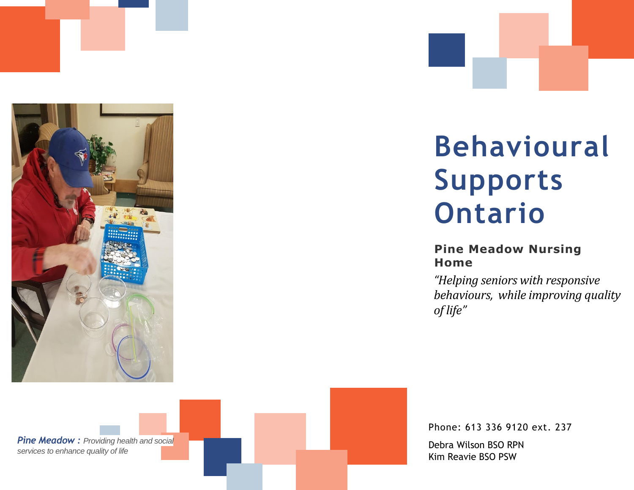

# **Behavioural Supports Ontario**

## **Pine Meadow Nursing Home**

*"Helping seniors with responsive behaviours, while improving quality of life"*

*Pine Meadow : Providing health and social services to enhance quality of life*

Phone: 613 336 9120 ext. 237 Debra Wilson BSO RPN Kim Reavie BSO PSW